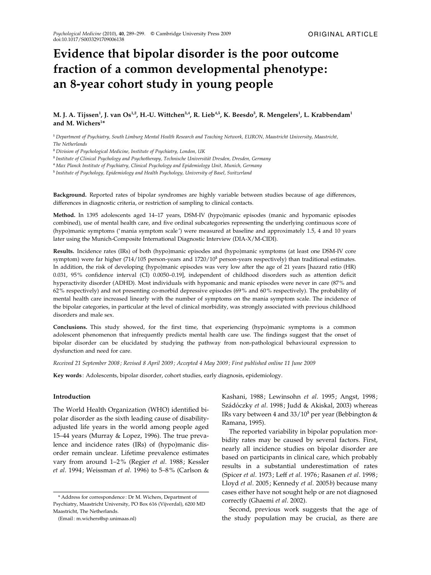# Evidence that bipolar disorder is the poor outcome fraction of a common developmental phenotype: an 8-year cohort study in young people

# M. J. A. Tijssen $^1$ , J. van Os $^{1,2}$ , H.-U. Wittchen $^{3,4}$ , R. Lieb $^{4,5}$ , K. Beesdo $^3$ , R. Mengelers $^1$ , L. Krabbendam $^1$ and M. Wichers<sup>1\*</sup>

<sup>1</sup> Department of Psychiatry, South Limburg Mental Health Research and Teaching Network, EURON, Maastricht University, Maastricht, The Netherlands

<sup>2</sup> Division of Psychological Medicine, Institute of Psychiatry, London, UK

<sup>3</sup> Institute of Clinical Psychology and Psychotherapy, Technische Universität Dresden, Dresden, Germany

<sup>4</sup> Max Planck Institute of Psychiatry, Clinical Psychology and Epidemiology Unit, Munich, Germany

<sup>5</sup> Institute of Psychology, Epidemiology and Health Psychology, University of Basel, Switzerland

Background. Reported rates of bipolar syndromes are highly variable between studies because of age differences, differences in diagnostic criteria, or restriction of sampling to clinical contacts.

Method. In 1395 adolescents aged 14–17 years, DSM-IV (hypo)manic episodes (manic and hypomanic episodes combined), use of mental health care, and five ordinal subcategories representing the underlying continuous score of (hypo)manic symptoms ('mania symptom scale') were measured at baseline and approximately 1.5, 4 and 10 years later using the Munich-Composite International Diagnostic Interview (DIA-X/M-CIDI).

Results. Incidence rates (IRs) of both (hypo)manic episodes and (hypo)manic symptoms (at least one DSM-IV core symptom) were far higher (714/105 person-years and 1720/10<sup>5</sup> person-years respectively) than traditional estimates. In addition, the risk of developing (hypo)manic episodes was very low after the age of 21 years [hazard ratio (HR) 0.031, 95% confidence interval (CI) 0.0050–0.19], independent of childhood disorders such as attention deficit hyperactivity disorder (ADHD). Most individuals with hypomanic and manic episodes were never in care (87% and 62% respectively) and not presenting co-morbid depressive episodes (69% and 60% respectively). The probability of mental health care increased linearly with the number of symptoms on the mania symptom scale. The incidence of the bipolar categories, in particular at the level of clinical morbidity, was strongly associated with previous childhood disorders and male sex.

Conclusions. This study showed, for the first time, that experiencing (hypo)manic symptoms is a common adolescent phenomenon that infrequently predicts mental health care use. The findings suggest that the onset of bipolar disorder can be elucidated by studying the pathway from non-pathological behavioural expression to dysfunction and need for care.

Received 21 September 2008 ; Revised 8 April 2009; Accepted 4 May 2009 ; First published online 11 June 2009

Key words : Adolescents, bipolar disorder, cohort studies, early diagnosis, epidemiology.

#### Introduction

The World Health Organization (WHO) identified bipolar disorder as the sixth leading cause of disabilityadjusted life years in the world among people aged 15–44 years (Murray & Lopez, 1996). The true prevalence and incidence rates (IRs) of (hypo)manic disorder remain unclear. Lifetime prevalence estimates vary from around 1–2% (Regier et al. 1988; Kessler et al. 1994; Weissman et al. 1996) to 5–8% (Carlson &

(Email : m.wichers@sp.unimaas.nl)

Kashani, 1988; Lewinsohn et al. 1995; Angst, 1998; Szádóczky et al. 1998; Judd & Akiskal, 2003) whereas IRs vary between 4 and  $33/10^5$  per year (Bebbington & Ramana, 1995).

The reported variability in bipolar population morbidity rates may be caused by several factors. First, nearly all incidence studies on bipolar disorder are based on participants in clinical care, which probably results in a substantial underestimation of rates (Spicer et al. 1973; Leff et al. 1976; Rasanen et al. 1998; Lloyd et al. 2005; Kennedy et al. 2005b) because many cases either have not sought help or are not diagnosed correctly (Ghaemi et al. 2002).

Second, previous work suggests that the age of the study population may be crucial, as there are

<sup>\*</sup> Address for correspondence : Dr M. Wichers, Department of Psychiatry, Maastricht University, PO Box 616 (Vijverdal), 6200 MD Maastricht, The Netherlands.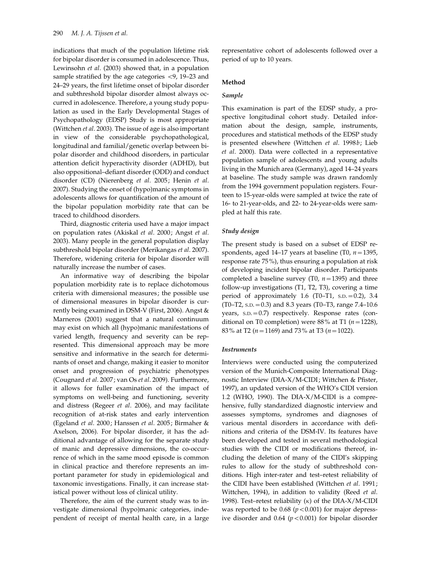indications that much of the population lifetime risk for bipolar disorder is consumed in adolescence. Thus, Lewinsohn et al. (2003) showed that, in a population sample stratified by the age categories <9, 19–23 and 24–29 years, the first lifetime onset of bipolar disorder and subthreshold bipolar disorder almost always occurred in adolescence. Therefore, a young study population as used in the Early Developmental Stages of Psychopathology (EDSP) Study is most appropriate (Wittchen et al. 2003). The issue of age is also important in view of the considerable psychopathological, longitudinal and familial/genetic overlap between bipolar disorder and childhood disorders, in particular attention deficit hyperactivity disorder (ADHD), but also oppositional–defiant disorder (ODD) and conduct disorder (CD) (Nierenberg et al. 2005; Henin et al. 2007). Studying the onset of (hypo)manic symptoms in adolescents allows for quantification of the amount of the bipolar population morbidity rate that can be traced to childhood disorders.

Third, diagnostic criteria used have a major impact on population rates (Akiskal et al. 2000; Angst et al. 2003). Many people in the general population display subthreshold bipolar disorder (Merikangas et al. 2007). Therefore, widening criteria for bipolar disorder will naturally increase the number of cases.

An informative way of describing the bipolar population morbidity rate is to replace dichotomous criteria with dimensional measures; the possible use of dimensional measures in bipolar disorder is currently being examined in DSM-V (First, 2006). Angst & Marneros (2001) suggest that a natural continuum may exist on which all (hypo)manic manifestations of varied length, frequency and severity can be represented. This dimensional approach may be more sensitive and informative in the search for determinants of onset and change, making it easier to monitor onset and progression of psychiatric phenotypes (Cougnard et al. 2007; van Os et al. 2009). Furthermore, it allows for fuller examination of the impact of symptoms on well-being and functioning, severity and distress (Regeer et al. 2006), and may facilitate recognition of at-risk states and early intervention (Egeland et al. 2000; Hanssen et al. 2005; Birmaher & Axelson, 2006). For bipolar disorder, it has the additional advantage of allowing for the separate study of manic and depressive dimensions, the co-occurrence of which in the same mood episode is common in clinical practice and therefore represents an important parameter for study in epidemiological and taxonomic investigations. Finally, it can increase statistical power without loss of clinical utility.

Therefore, the aim of the current study was to investigate dimensional (hypo)manic categories, independent of receipt of mental health care, in a large

representative cohort of adolescents followed over a period of up to 10 years.

## Method

## Sample

This examination is part of the EDSP study, a prospective longitudinal cohort study. Detailed information about the design, sample, instruments, procedures and statistical methods of the EDSP study is presented elsewhere (Wittchen et al. 1998b; Lieb et al. 2000). Data were collected in a representative population sample of adolescents and young adults living in the Munich area (Germany), aged 14–24 years at baseline. The study sample was drawn randomly from the 1994 government population registers. Fourteen to 15-year-olds were sampled at twice the rate of 16- to 21-year-olds, and 22- to 24-year-olds were sampled at half this rate.

#### Study design

The present study is based on a subset of EDSP respondents, aged 14–17 years at baseline (T0,  $n=1395$ , response rate 75%), thus ensuring a population at risk of developing incident bipolar disorder. Participants completed a baseline survey (T0,  $n=1395$ ) and three follow-up investigations (T1, T2, T3), covering a time period of approximately 1.6 (T0–T1, s.p. = 0.2), 3.4 (T0–T2, s.p. = 0.3) and 8.3 years (T0–T3, range  $7.4$ –10.6) years, s.p. = 0.7) respectively. Response rates (conditional on T0 completion) were 88% at T1 ( $n=1228$ ), 83% at T2 ( $n=1169$ ) and 73% at T3 ( $n=1022$ ).

#### **Instruments**

Interviews were conducted using the computerized version of the Munich-Composite International Diagnostic Interview (DIA-X/M-CIDI; Wittchen & Pfister, 1997), an updated version of the WHO's CIDI version 1.2 (WHO, 1990). The DIA-X/M-CIDI is a comprehensive, fully standardized diagnostic interview and assesses symptoms, syndromes and diagnoses of various mental disorders in accordance with definitions and criteria of the DSM-IV. Its features have been developed and tested in several methodological studies with the CIDI or modifications thereof, including the deletion of many of the CIDI's skipping rules to allow for the study of subthreshold conditions. High inter-rater and test–retest reliability of the CIDI have been established (Wittchen et al. 1991; Wittchen, 1994), in addition to validity (Reed et al. 1998). Test–retest reliability (*k*) of the DIA-X/M-CIDI was reported to be  $0.68$  ( $p < 0.001$ ) for major depressive disorder and 0.64  $(p<0.001)$  for bipolar disorder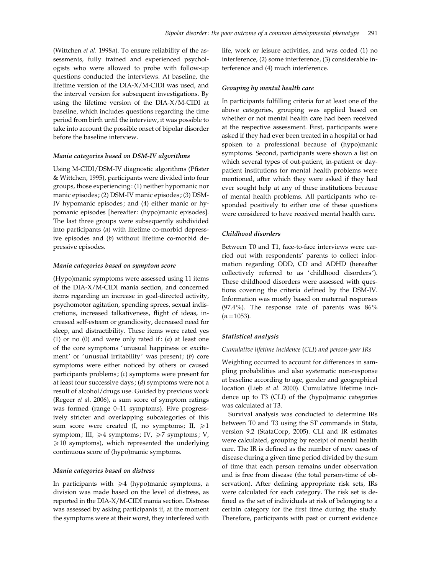(Wittchen et al. 1998a). To ensure reliability of the assessments, fully trained and experienced psychologists who were allowed to probe with follow-up questions conducted the interviews. At baseline, the lifetime version of the DIA-X/M-CIDI was used, and the interval version for subsequent investigations. By using the lifetime version of the DIA-X/M-CIDI at baseline, which includes questions regarding the time period from birth until the interview, it was possible to take into account the possible onset of bipolar disorder before the baseline interview.

#### Mania categories based on DSM-IV algorithms

Using M-CIDI/DSM-IV diagnostic algorithms (Pfister & Wittchen, 1995), participants were divided into four groups, those experiencing: (1) neither hypomanic nor manic episodes; (2) DSM-IV manic episodes; (3) DSM-IV hypomanic episodes; and (4) either manic or hypomanic episodes [hereafter: (hypo)manic episodes]. The last three groups were subsequently subdivided into participants (a) with lifetime co-morbid depressive episodes and (b) without lifetime co-morbid depressive episodes.

#### Mania categories based on symptom score

(Hypo)manic symptoms were assessed using 11 items of the DIA-X/M-CIDI mania section, and concerned items regarding an increase in goal-directed activity, psychomotor agitation, spending sprees, sexual indiscretions, increased talkativeness, flight of ideas, increased self-esteem or grandiosity, decreased need for sleep, and distractibility. These items were rated yes (1) or no (0) and were only rated if:  $(a)$  at least one of the core symptoms 'unusual happiness or excitement' or 'unusual irritability' was present; (b) core symptoms were either noticed by others or caused participants problems; (c) symptoms were present for at least four successive days; (d) symptoms were not a result of alcohol/drugs use. Guided by previous work (Regeer et al. 2006), a sum score of symptom ratings was formed (range 0–11 symptoms). Five progressively stricter and overlapping subcategories of this sum score were created (I, no symptoms; II,  $\geq 1$ symptom; III,  $\geq 4$  symptoms; IV,  $\geq 7$  symptoms; V,  $\geq$ 10 symptoms), which represented the underlying continuous score of (hypo)manic symptoms.

#### Mania categories based on distress

In participants with  $\geq 4$  (hypo)manic symptoms, a division was made based on the level of distress, as reported in the DIA-X/M-CIDI mania section. Distress was assessed by asking participants if, at the moment the symptoms were at their worst, they interfered with life, work or leisure activities, and was coded (1) no interference, (2) some interference, (3) considerable interference and (4) much interference.

#### Grouping by mental health care

In participants fulfilling criteria for at least one of the above categories, grouping was applied based on whether or not mental health care had been received at the respective assessment. First, participants were asked if they had ever been treated in a hospital or had spoken to a professional because of (hypo)manic symptoms. Second, participants were shown a list on which several types of out-patient, in-patient or daypatient institutions for mental health problems were mentioned, after which they were asked if they had ever sought help at any of these institutions because of mental health problems. All participants who responded positively to either one of these questions were considered to have received mental health care.

## Childhood disorders

Between T0 and T1, face-to-face interviews were carried out with respondents' parents to collect information regarding ODD, CD and ADHD (hereafter collectively referred to as 'childhood disorders'). These childhood disorders were assessed with questions covering the criteria defined by the DSM-IV. Information was mostly based on maternal responses (97.4%). The response rate of parents was 86%  $(n=1053)$ .

#### Statistical analysis

#### Cumulative lifetime incidence (CLI) and person-year IRs

Weighting occurred to account for differences in sampling probabilities and also systematic non-response at baseline according to age, gender and geographical location (Lieb et al. 2000). Cumulative lifetime incidence up to T3 (CLI) of the (hypo)manic categories was calculated at T3.

Survival analysis was conducted to determine IRs between T0 and T3 using the ST commands in Stata, version 9.2 (StataCorp, 2005). CLI and IR estimates were calculated, grouping by receipt of mental health care. The IR is defined as the number of new cases of disease during a given time period divided by the sum of time that each person remains under observation and is free from disease (the total person-time of observation). After defining appropriate risk sets, IRs were calculated for each category. The risk set is defined as the set of individuals at risk of belonging to a certain category for the first time during the study. Therefore, participants with past or current evidence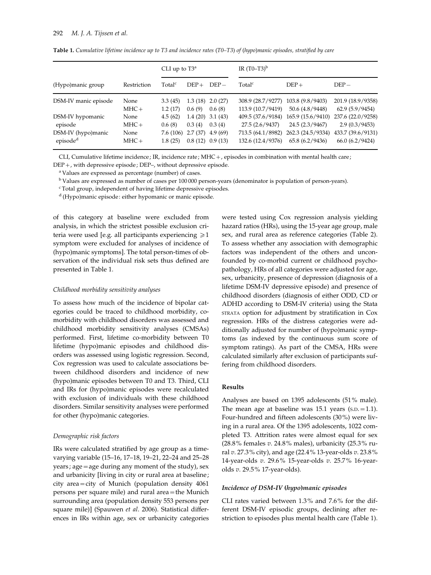|                      |             | CLI up to $T3^a$   |         | IR $(T0-T3)^{b}$    |                    |                   |                   |
|----------------------|-------------|--------------------|---------|---------------------|--------------------|-------------------|-------------------|
| (Hypo)manic group    | Restriction | Total <sup>c</sup> | $DEF +$ | $DEF -$             | Total <sup>c</sup> | $DEF +$           | $DEF -$           |
| DSM-IV manic episode | None        | 3.3(45)            |         | $1.3(18)$ $2.0(27)$ | 308.9 (28.7/9277)  | 103.8 (9.8/9403)  | 201.9 (18.9/9358) |
|                      | $MHC +$     | 1.2(17)            | 0.6(9)  | 0.6(8)              | 113.9 (10.7/9419)  | 50.6 (4.8/9448)   | 62.9(5.9/9454)    |
| DSM-IV hypomanic     | None        | 4.5(62)            |         | $1.4(20)$ $3.1(43)$ | 409.5 (37.6/9184)  | 165.9 (15.6/9410) | 237.6 (22.0/9258) |
| episode              | $MHC +$     | 0.6(8)             | 0.3(4)  | 0.3(4)              | 27.5 (2.6/9437)    | 24.5 (2.3/9467)   | 2.9(0.3/9453)     |
| DSM-IV (hypo)manic   | None        | 7.6(106)           |         | $2.7(37)$ 4.9 (69)  | 713.5 (64.1/8982)  | 262.3 (24.5/9334) | 433.7 (39.6/9131) |
| episode <sup>d</sup> | $MHC +$     | 1.8(25)            |         | $0.8(12)$ $0.9(13)$ | 132.6 (12.4/9376)  | 65.8(6.2/9436)    | 66.0(6.2/9424)    |

Table 1. Cumulative lifetime incidence up to T3 and incidence rates (T0–T3) of (hypo)manic episodes, stratified by care

CLI, Cumulative lifetime incidence ; IR, incidence rate; MHC+, episodes in combination with mental health care; DEP+, with depressive episode ; DEP–, without depressive episode.

<sup>a</sup> Values are expressed as percentage (number) of cases.

<sup>b</sup> Values are expressed as number of cases per 100 000 person-years (denominator is population of person-years).

<sup>c</sup> Total group, independent of having lifetime depressive episodes.

<sup>d</sup> (Hypo)manic episode: either hypomanic or manic episode.

of this category at baseline were excluded from analysis, in which the strictest possible exclusion criteria were used [e.g. all participants experiencing  $\geq 1$ symptom were excluded for analyses of incidence of (hypo)manic symptoms]. The total person-times of observation of the individual risk sets thus defined are presented in Table 1.

## Childhood morbidity sensitivity analyses

To assess how much of the incidence of bipolar categories could be traced to childhood morbidity, comorbidity with childhood disorders was assessed and childhood morbidity sensitivity analyses (CMSAs) performed. First, lifetime co-morbidity between T0 lifetime (hypo)manic episodes and childhood disorders was assessed using logistic regression. Second, Cox regression was used to calculate associations between childhood disorders and incidence of new (hypo)manic episodes between T0 and T3. Third, CLI and IRs for (hypo)manic episodes were recalculated with exclusion of individuals with these childhood disorders. Similar sensitivity analyses were performed for other (hypo)manic categories.

#### Demographic risk factors

IRs were calculated stratified by age group as a timevarying variable (15–16, 17–18, 19–21, 22–24 and 25–28 years; age = age during any moment of the study), sex and urbanicity [living in city or rural area at baseline; city area=city of Munich (population density 4061 persons per square mile) and rural area=the Munich surrounding area (population density 553 persons per square mile)] (Spauwen et al. 2006). Statistical differences in IRs within age, sex or urbanicity categories

were tested using Cox regression analysis yielding hazard ratios (HRs), using the 15-year age group, male sex, and rural area as reference categories (Table 2). To assess whether any association with demographic factors was independent of the others and unconfounded by co-morbid current or childhood psychopathology, HRs of all categories were adjusted for age, sex, urbanicity, presence of depression (diagnosis of a lifetime DSM-IV depressive episode) and presence of childhood disorders (diagnosis of either ODD, CD or ADHD according to DSM-IV criteria) using the Stata STRATA option for adjustment by stratification in Cox regression. HRs of the distress categories were additionally adjusted for number of (hypo)manic symptoms (as indexed by the continuous sum score of symptom ratings). As part of the CMSA, HRs were calculated similarly after exclusion of participants suffering from childhood disorders.

## Results

Analyses are based on 1395 adolescents (51% male). The mean age at baseline was  $15.1$  years (s.p.  $=1.1$ ). Four-hundred and fifteen adolescents (30%) were living in a rural area. Of the 1395 adolescents, 1022 completed T3. Attrition rates were almost equal for sex (28.8% females v. 24.8% males), urbanicity (25.3% rural v. 27.3% city), and age (22.4% 13-year-olds v. 23.8% 14-year-olds v. 29.6% 15-year-olds v. 25.7% 16-yearolds v. 29.5% 17-year-olds).

## Incidence of DSM-IV (hypo)manic episodes

CLI rates varied between 1.3% and 7.6% for the different DSM-IV episodic groups, declining after restriction to episodes plus mental health care (Table 1).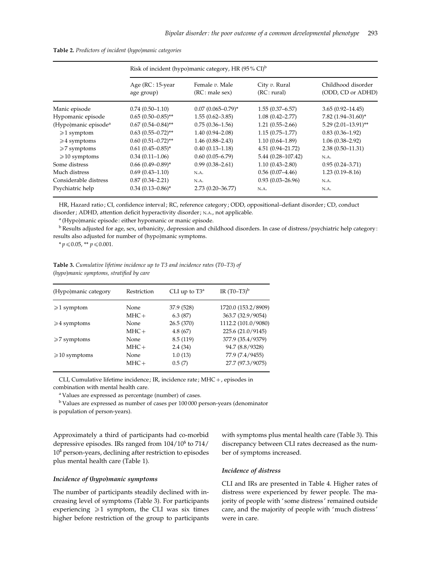|                                  | Risk of incident (hypo)manic category, HR $(95\% \text{ CI})^b$ |                                  |                              |                                         |  |  |
|----------------------------------|-----------------------------------------------------------------|----------------------------------|------------------------------|-----------------------------------------|--|--|
|                                  | Age $(RC:15$ -year<br>age group)                                | Female v. Male<br>(RC: male sex) | City v. Rural<br>(RC: rural) | Childhood disorder<br>(ODD, CD or ADHD) |  |  |
| Manic episode                    | $0.74(0.50-1.10)$                                               | $0.07(0.065 - 0.79)^{*}$         | $1.55(0.37 - 6.57)$          | $3.65(0.92 - 14.45)$                    |  |  |
| Hypomanic episode                | $0.65(0.50-0.85)$ **                                            | $1.55(0.62 - 3.85)$              | $1.08(0.42 - 2.77)$          | 7.82 $(1.94 - 31.60)^*$                 |  |  |
| (Hypo)manic episode <sup>a</sup> | $0.67$ $(0.54 - 0.84)$ **                                       | $0.75(0.36 - 1.56)$              | $1.21(0.55 - 2.66)$          | $5.29$ (2.01-13.91)**                   |  |  |
| $\geq 1$ symptom                 | $0.63$ $(0.55 - 0.72)$ **                                       | $1.40(0.94 - 2.08)$              | $1.15(0.75 - 1.77)$          | $0.83(0.36 - 1.92)$                     |  |  |
| $\geq 4$ symptoms                | $0.60$ $(0.51 - 0.72)$ **                                       | $1.46(0.88 - 2.43)$              | $1.10(0.64 - 1.89)$          | $1.06(0.38 - 2.92)$                     |  |  |
| $\geq 7$ symptoms                | $0.61(0.45 - 0.85)^*$                                           | $0.40(0.13 - 1.18)$              | $4.51(0.94 - 21.72)$         | $2.38(0.50-11.31)$                      |  |  |
| $\geqslant$ 10 symptoms          | $0.34(0.11-1.06)$                                               | $0.60(0.05 - 6.79)$              | $5.44(0.28 - 107.42)$        | N.A.                                    |  |  |
| Some distress                    | $0.66$ $(0.49 - 0.89)^*$                                        | $0.99(0.38 - 2.61)$              | $1.10(0.43 - 2.80)$          | $0.95(0.24 - 3.71)$                     |  |  |
| Much distress                    | $0.69(0.43 - 1.10)$                                             | N.A.                             | $0.56(0.07-4.46)$            | $1.23(0.19 - 8.16)$                     |  |  |
| Considerable distress            | $0.87(0.34 - 2.21)$                                             | N.A.                             | $0.93(0.03 - 26.96)$         | N.A.                                    |  |  |
| Psychiatric help                 | $0.34(0.13 - 0.86)^*$                                           | $2.73(0.20 - 36.77)$             | N.A.                         | N.A.                                    |  |  |

| Table 2. Predictors of incident (hypo)manic categories |  |  |  |
|--------------------------------------------------------|--|--|--|
|                                                        |  |  |  |

HR, Hazard ratio; CI, confidence interval; RC, reference category; ODD, oppositional-defiant disorder; CD, conduct disorder ; ADHD, attention deficit hyperactivity disorder ; N.A., not applicable.

<sup>a</sup> (Hypo)manic episode : either hypomanic or manic episode.

<sup>b</sup> Results adjusted for age, sex, urbanicity, depression and childhood disorders. In case of distress/psychiatric help category : results also adjusted for number of (hypo)manic symptoms.

 $* p \le 0.05$ ,  $* p \le 0.001$ .

Table 3. Cumulative lifetime incidence up to T3 and incidence rates (T0-T3) of (hypo)manic symptoms, stratified by care

| (Hypo)manic category    | Restriction | CLI up to $T3^a$ | IR $(T0-T3)^{b}$    |
|-------------------------|-------------|------------------|---------------------|
| $\geq 1$ symptom        | None        | 37.9 (528)       | 1720.0 (153.2/8909) |
|                         | $MHC +$     | 6.3(87)          | 363.7 (32.9/9054)   |
| $\geq 4$ symptoms       | None        | 26.5(370)        | 1112.2 (101.0/9080) |
|                         | $MHC +$     | 4.8(67)          | 225.6 (21.0/9145)   |
| $\geq 7$ symptoms       | None        | 8.5 (119)        | 377.9 (35.4/9379)   |
|                         | $MHC +$     | 2.4(34)          | 94.7 (8.8/9328)     |
| $\geqslant$ 10 symptoms | None        | 1.0(13)          | 77.9 (7.4/9455)     |
|                         | $MHC +$     | 0.5(7)           | 27.7 (97.3/9075)    |

CLI, Cumulative lifetime incidence ; IR, incidence rate; MHC+, episodes in combination with mental health care.

<sup>a</sup> Values are expressed as percentage (number) of cases.

<sup>b</sup> Values are expressed as number of cases per 100 000 person-years (denominator

is population of person-years).

Approximately a third of participants had co-morbid depressive episodes. IRs ranged from 104/10<sup>5</sup> to 714/  $10<sup>5</sup>$  person-years, declining after restriction to episodes plus mental health care (Table 1).

## Incidence of (hypo)manic symptoms

The number of participants steadily declined with increasing level of symptoms (Table 3). For participants experiencing  $\geq 1$  symptom, the CLI was six times higher before restriction of the group to participants with symptoms plus mental health care (Table 3). This discrepancy between CLI rates decreased as the number of symptoms increased.

## Incidence of distress

CLI and IRs are presented in Table 4. Higher rates of distress were experienced by fewer people. The majority of people with 'some distress' remained outside care, and the majority of people with 'much distress' were in care.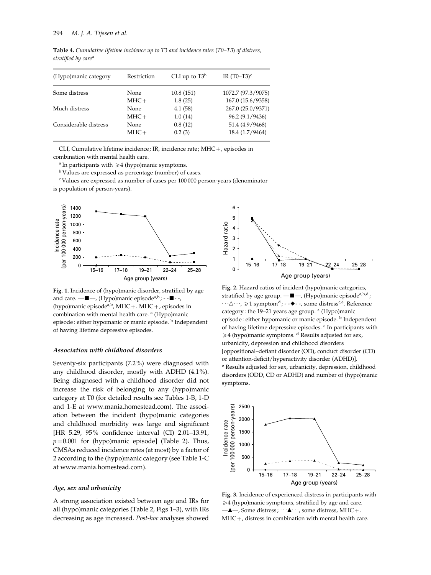Table 4. Cumulative lifetime incidence up to T3 and incidence rates (T0–T3) of distress, stratified by care<sup>a</sup>

| (Hypo)manic category  | Restriction | CLI up to $T3^b$ | IR $(T0-T3)^c$     |
|-----------------------|-------------|------------------|--------------------|
| Some distress         | None        | 10.8(151)        | 1072.7 (97.3/9075) |
|                       | $MHC +$     | 1.8(25)          | 167.0 (15.6/9358)  |
| Much distress         | None        | 4.1(58)          | 267.0 (25.0/9371)  |
|                       | $MHC +$     | 1.0(14)          | 96.2 (9.1/9436)    |
| Considerable distress | None        | 0.8(12)          | 51.4 (4.9/9468)    |
|                       | $MHC +$     | 0.2(3)           | 18.4 (1.7/9464)    |

CLI, Cumulative lifetime incidence ; IR, incidence rate; MHC+, episodes in combination with mental health care.

<sup>a</sup> In participants with  $\geq 4$  (hypo)manic symptoms.

<sup>b</sup> Values are expressed as percentage (number) of cases.

<sup>c</sup> Values are expressed as number of cases per 100 000 person-years (denominator is population of person-years).



Fig. 1. Incidence of (hypo)manic disorder, stratified by age and care.  $-\blacksquare$ , (Hypo)manic episode<sup>a,b</sup> ; - - $\blacksquare$ --(hypo)manic episode<sup>a,b</sup>, MHC + . MHC + , episodes in combination with mental health care.<sup>a</sup> (Hypo)manic episode: either hypomanic or manic episode. <sup>b</sup> Independent of having lifetime depressive episodes.

#### Association with childhood disorders

Seventy-six participants (7.2%) were diagnosed with any childhood disorder, mostly with ADHD (4.1%). Being diagnosed with a childhood disorder did not increase the risk of belonging to any (hypo)manic category at T0 (for detailed results see Tables 1-B, 1-D and 1-E at www.mania.homestead.com). The association between the incident (hypo)manic categories and childhood morbidity was large and significant [HR 5.29, 95% confidence interval (CI) 2.01–13.91,  $p=0.001$  for (hypo)manic episode] (Table 2). Thus, CMSAs reduced incidence rates (at most) by a factor of 2 according to the (hypo)manic category (see Table 1-C at www.mania.homestead.com).

#### Age, sex and urbanicity

A strong association existed between age and IRs for all (hypo)manic categories (Table 2, Figs 1–3), with IRs decreasing as age increased. Post-hoc analyses showed



Fig. 2. Hazard ratios of incident (hypo)manic categories, stratified by age group.  $-\blacksquare$ , (Hypo)manic episode<sup>a,b,d</sup>;  $\cdots \triangle \cdots$ ,  $\geq 1$  symptom<sup>d</sup>; - -  $\blacklozenge$  - -, some distress<sup>c,e</sup>. Reference category: the  $19-21$  years age group.  $\alpha$  (Hypo)manic episode: either hypomanic or manic episode. <sup>b</sup> Independent of having lifetime depressive episodes. <sup>c</sup> In participants with  $\geq 4$  (hypo)manic symptoms. <sup>d</sup> Results adjusted for sex, urbanicity, depression and childhood disorders [oppositional–defiant disorder (OD), conduct disorder (CD) or attention-deficit/hyperactivity disorder (ADHD)]. <sup>e</sup> Results adjusted for sex, urbanicity, depression, childhood disorders (ODD, CD or ADHD) and number of (hypo)manic symptoms.



Fig. 3. Incidence of experienced distress in participants with  $\geq 4$  (hypo)manic symptoms, stratified by age and care.  $-\triangle$ —, Some distress;  $\cdots \triangle \cdots$ , some distress, MHC+. MHC+, distress in combination with mental health care.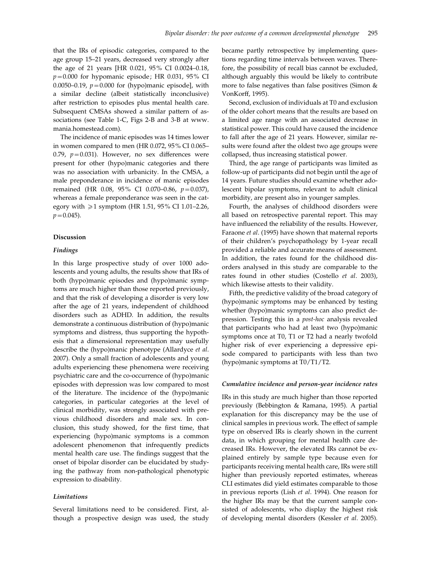that the IRs of episodic categories, compared to the age group 15–21 years, decreased very strongly after the age of 21 years [HR 0.021, 95% CI 0.0024–0.18,  $p=0.000$  for hypomanic episode; HR 0.031, 95% CI 0.0050–0.19,  $p = 0.000$  for (hypo)manic episode], with a similar decline (albeit statistically inconclusive) after restriction to episodes plus mental health care. Subsequent CMSAs showed a similar pattern of associations (see Table 1-C, Figs 2-B and 3-B at www. mania.homestead.com).

The incidence of manic episodes was 14 times lower in women compared to men (HR 0.072, 95% CI 0.065– 0.79,  $p=0.031$ ). However, no sex differences were present for other (hypo)manic categories and there was no association with urbanicity. In the CMSA, a male preponderance in incidence of manic episodes remained (HR 0.08, 95% CI 0.070-0.86,  $p = 0.037$ ), whereas a female preponderance was seen in the category with  $\geq 1$  symptom (HR 1.51, 95% CI 1.01–2.26,  $p=0.045$ ).

#### Discussion

## Findings

In this large prospective study of over 1000 adolescents and young adults, the results show that IRs of both (hypo)manic episodes and (hypo)manic symptoms are much higher than those reported previously, and that the risk of developing a disorder is very low after the age of 21 years, independent of childhood disorders such as ADHD. In addition, the results demonstrate a continuous distribution of (hypo)manic symptoms and distress, thus supporting the hypothesis that a dimensional representation may usefully describe the (hypo)manic phenotype (Allardyce et al. 2007). Only a small fraction of adolescents and young adults experiencing these phenomena were receiving psychiatric care and the co-occurrence of (hypo)manic episodes with depression was low compared to most of the literature. The incidence of the (hypo)manic categories, in particular categories at the level of clinical morbidity, was strongly associated with previous childhood disorders and male sex. In conclusion, this study showed, for the first time, that experiencing (hypo)manic symptoms is a common adolescent phenomenon that infrequently predicts mental health care use. The findings suggest that the onset of bipolar disorder can be elucidated by studying the pathway from non-pathological phenotypic expression to disability.

## Limitations

Several limitations need to be considered. First, although a prospective design was used, the study became partly retrospective by implementing questions regarding time intervals between waves. Therefore, the possibility of recall bias cannot be excluded, although arguably this would be likely to contribute more to false negatives than false positives (Simon & VonKorff, 1995).

Second, exclusion of individuals at T0 and exclusion of the older cohort means that the results are based on a limited age range with an associated decrease in statistical power. This could have caused the incidence to fall after the age of 21 years. However, similar results were found after the oldest two age groups were collapsed, thus increasing statistical power.

Third, the age range of participants was limited as follow-up of participants did not begin until the age of 14 years. Future studies should examine whether adolescent bipolar symptoms, relevant to adult clinical morbidity, are present also in younger samples.

Fourth, the analyses of childhood disorders were all based on retrospective parental report. This may have influenced the reliability of the results. However, Faraone et al. (1995) have shown that maternal reports of their children's psychopathology by 1-year recall provided a reliable and accurate means of assessment. In addition, the rates found for the childhood disorders analysed in this study are comparable to the rates found in other studies (Costello et al. 2003), which likewise attests to their validity.

Fifth, the predictive validity of the broad category of (hypo)manic symptoms may be enhanced by testing whether (hypo)manic symptoms can also predict depression. Testing this in a post-hoc analysis revealed that participants who had at least two (hypo)manic symptoms once at T0, T1 or T2 had a nearly twofold higher risk of ever experiencing a depressive episode compared to participants with less than two (hypo)manic symptoms at T0/T1/T2.

#### Cumulative incidence and person-year incidence rates

IRs in this study are much higher than those reported previously (Bebbington & Ramana, 1995). A partial explanation for this discrepancy may be the use of clinical samples in previous work. The effect of sample type on observed IRs is clearly shown in the current data, in which grouping for mental health care decreased IRs. However, the elevated IRs cannot be explained entirely by sample type because even for participants receiving mental health care, IRs were still higher than previously reported estimates, whereas CLI estimates did yield estimates comparable to those in previous reports (Lish et al. 1994). One reason for the higher IRs may be that the current sample consisted of adolescents, who display the highest risk of developing mental disorders (Kessler et al. 2005).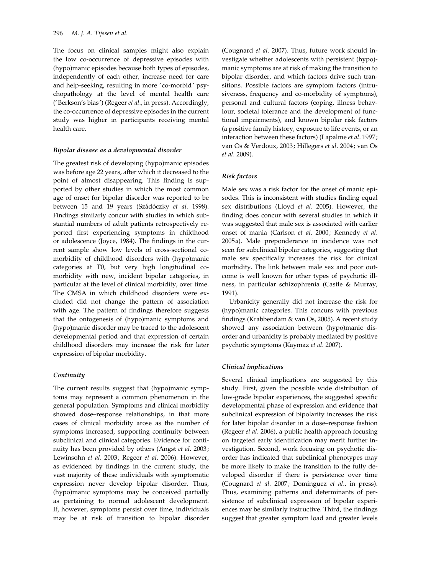The focus on clinical samples might also explain the low co-occurrence of depressive episodes with (hypo)manic episodes because both types of episodes, independently of each other, increase need for care and help-seeking, resulting in more 'co-morbid' psychopathology at the level of mental health care ('Berkson's bias') (Regeer et al., in press). Accordingly, the co-occurrence of depressive episodes in the current study was higher in participants receiving mental health care.

#### Bipolar disease as a developmental disorder

The greatest risk of developing (hypo)manic episodes was before age 22 years, after which it decreased to the point of almost disappearing. This finding is supported by other studies in which the most common age of onset for bipolar disorder was reported to be between 15 and 19 years (Szádóczky et al. 1998). Findings similarly concur with studies in which substantial numbers of adult patients retrospectively reported first experiencing symptoms in childhood or adolescence (Joyce, 1984). The findings in the current sample show low levels of cross-sectional comorbidity of childhood disorders with (hypo)manic categories at T0, but very high longitudinal comorbidity with new, incident bipolar categories, in particular at the level of clinical morbidity, over time. The CMSA in which childhood disorders were excluded did not change the pattern of association with age. The pattern of findings therefore suggests that the ontogenesis of (hypo)manic symptoms and (hypo)manic disorder may be traced to the adolescent developmental period and that expression of certain childhood disorders may increase the risk for later expression of bipolar morbidity.

## **Continuity**

The current results suggest that (hypo)manic symptoms may represent a common phenomenon in the general population. Symptoms and clinical morbidity showed dose–response relationships, in that more cases of clinical morbidity arose as the number of symptoms increased, supporting continuity between subclinical and clinical categories. Evidence for continuity has been provided by others (Angst et al. 2003; Lewinsohn et al. 2003; Regeer et al. 2006). However, as evidenced by findings in the current study, the vast majority of these individuals with symptomatic expression never develop bipolar disorder. Thus, (hypo)manic symptoms may be conceived partially as pertaining to normal adolescent development. If, however, symptoms persist over time, individuals may be at risk of transition to bipolar disorder

(Cougnard et al. 2007). Thus, future work should investigate whether adolescents with persistent (hypo) manic symptoms are at risk of making the transition to bipolar disorder, and which factors drive such transitions. Possible factors are symptom factors (intrusiveness, frequency and co-morbidity of symptoms), personal and cultural factors (coping, illness behaviour, societal tolerance and the development of functional impairments), and known bipolar risk factors (a positive family history, exposure to life events, or an interaction between these factors) (Lapalme et al. 1997; van Os & Verdoux, 2003; Hillegers et al. 2004; van Os et al. 2009).

## Risk factors

Male sex was a risk factor for the onset of manic episodes. This is inconsistent with studies finding equal sex distributions (Lloyd et al. 2005). However, the finding does concur with several studies in which it was suggested that male sex is associated with earlier onset of mania (Carlson et al. 2000; Kennedy et al. 2005a). Male preponderance in incidence was not seen for subclinical bipolar categories, suggesting that male sex specifically increases the risk for clinical morbidity. The link between male sex and poor outcome is well known for other types of psychotic illness, in particular schizophrenia (Castle & Murray, 1991).

Urbanicity generally did not increase the risk for (hypo)manic categories. This concurs with previous findings (Krabbendam & van Os, 2005). A recent study showed any association between (hypo)manic disorder and urbanicity is probably mediated by positive psychotic symptoms (Kaymaz et al. 2007).

## Clinical implications

Several clinical implications are suggested by this study. First, given the possible wide distribution of low-grade bipolar experiences, the suggested specific developmental phase of expression and evidence that subclinical expression of bipolarity increases the risk for later bipolar disorder in a dose–response fashion (Regeer et al. 2006), a public health approach focusing on targeted early identification may merit further investigation. Second, work focusing on psychotic disorder has indicated that subclinical phenotypes may be more likely to make the transition to the fully developed disorder if there is persistence over time (Cougnard et al. 2007; Dominguez et al., in press). Thus, examining patterns and determinants of persistence of subclinical expression of bipolar experiences may be similarly instructive. Third, the findings suggest that greater symptom load and greater levels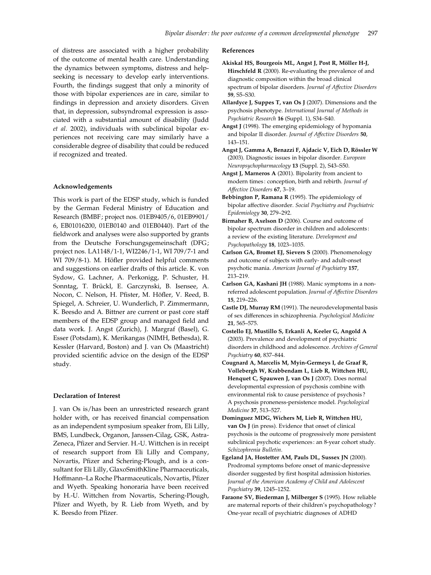of distress are associated with a higher probability of the outcome of mental health care. Understanding the dynamics between symptoms, distress and helpseeking is necessary to develop early interventions. Fourth, the findings suggest that only a minority of those with bipolar experiences are in care, similar to findings in depression and anxiety disorders. Given that, in depression, subsyndromal expression is associated with a substantial amount of disability (Judd et al. 2002), individuals with subclinical bipolar experiences not receiving care may similarly have a considerable degree of disability that could be reduced if recognized and treated.

## Acknowledgements

This work is part of the EDSP study, which is funded by the German Federal Ministry of Education and Research (BMBF; project nos. 01EB9405/6, 01EB9901/ 6, EB01016200, 01EB0140 and 01EB0440). Part of the fieldwork and analyses were also supported by grants from the Deutsche Forschungsgemeinschaft (DFG; project nos. LA1148/1-1, WI2246/1-1, WI 709/7-1 and WI 709/8-1). M. Höfler provided helpful comments and suggestions on earlier drafts of this article. K. von Sydow, G. Lachner, A. Perkonigg, P. Schuster, H. Sonntag, T. Brückl, E. Garczynski, B. Isensee, A. Nocon, C. Nelson, H. Pfister, M. Höfler, V. Reed, B. Spiegel, A. Schreier, U. Wunderlich, P. Zimmermann, K. Beesdo and A. Bittner are current or past core staff members of the EDSP group and managed field and data work. J. Angst (Zurich), J. Margraf (Basel), G. Esser (Potsdam), K. Merikangas (NIMH, Bethesda), R. Kessler (Harvard, Boston) and J. van Os (Maastricht) provided scientific advice on the design of the EDSP study.

#### Declaration of Interest

J. van Os is/has been an unrestricted research grant holder with, or has received financial compensation as an independent symposium speaker from, Eli Lilly, BMS, Lundbeck, Organon, Janssen-Cilag, GSK, Astra-Zeneca, Pfizer and Servier. H.-U. Wittchen is in receipt of research support from Eli Lilly and Company, Novartis, Pfizer and Schering-Plough, and is a consultant for Eli Lilly, GlaxoSmithKline Pharmaceuticals, Hoffmann–La Roche Pharmaceuticals, Novartis, Pfizer and Wyeth. Speaking honoraria have been received by H.-U. Wittchen from Novartis, Schering-Plough, Pfizer and Wyeth, by R. Lieb from Wyeth, and by K. Beesdo from Pfizer.

#### References

- Akiskal HS, Bourgeois ML, Angst J, Post R, Möller H-J, Hirschfeld R (2000). Re-evaluating the prevalence of and diagnostic composition within the broad clinical spectrum of bipolar disorders. Journal of Affective Disorders 59, S5–S30.
- Allardyce J, Suppes T, van Os J (2007). Dimensions and the psychosis phenotype. International Journal of Methods in Psychiatric Research 16 (Suppl. 1), S34-S40.
- Angst J (1998). The emerging epidemiology of hypomania and bipolar II disorder. Journal of Affective Disorders 50, 143–151.
- Angst J, Gamma A, Benazzi F, Ajdacic V, Eich D, Rössler W (2003). Diagnostic issues in bipolar disorder. European Neuropsychopharmacology 13 (Suppl. 2), S43–S50.
- Angst J, Marneros A (2001). Bipolarity from ancient to modern times : conception, birth and rebirth. Journal of Affective Disorders 67, 3–19.
- Bebbington P, Ramana R (1995). The epidemiology of bipolar affective disorder. Social Psychiatry and Psychiatric Epidemiology 30, 279–292.
- Birmaher B, Axelson D (2006). Course and outcome of bipolar spectrum disorder in children and adolescents : a review of the existing literature. Development and Psychopathology 18, 1023–1035.
- Carlson GA, Bromet EJ, Sievers S (2000). Phenomenology and outcome of subjects with early- and adult-onset psychotic mania. American Journal of Psychiatry 157, 213–219.
- Carlson GA, Kashani JH (1988). Manic symptoms in a nonreferred adolescent population. Journal of Affective Disorders 15, 219–226.
- Castle DJ, Murray RM (1991). The neurodevelopmental basis of sex differences in schizophrenia. Psychological Medicine 21, 565–575.
- Costello EJ, Mustillo S, Erkanli A, Keeler G, Angold A (2003). Prevalence and development of psychiatric disorders in childhood and adolescence. Archives of General Psychiatry 60, 837–844.
- Cougnard A, Marcelis M, Myin-Germeys I, de Graaf R, Vollebergh W, Krabbendam L, Lieb R, Wittchen HU, Henquet C, Spauwen J, van Os J (2007). Does normal developmental expression of psychosis combine with environmental risk to cause persistence of psychosis ? A psychosis proneness-persistence model. Psychological Medicine 37, 513–527.
- Dominguez MDG, Wichers M, Lieb R, Wittchen HU, van Os J (in press). Evidence that onset of clinical psychosis is the outcome of progressively more persistent subclinical psychotic experiences : an 8-year cohort study. Schizophrenia Bulletin.
- Egeland JA, Hostetter AM, Pauls DL, Sussex JN (2000). Prodromal symptoms before onset of manic-depressive disorder suggested by first hospital admission histories. Journal of the American Academy of Child and Adolescent Psychiatry 39, 1245–1252.
- Faraone SV, Biederman J, Milberger S (1995). How reliable are maternal reports of their children's psychopathology ? One-year recall of psychiatric diagnoses of ADHD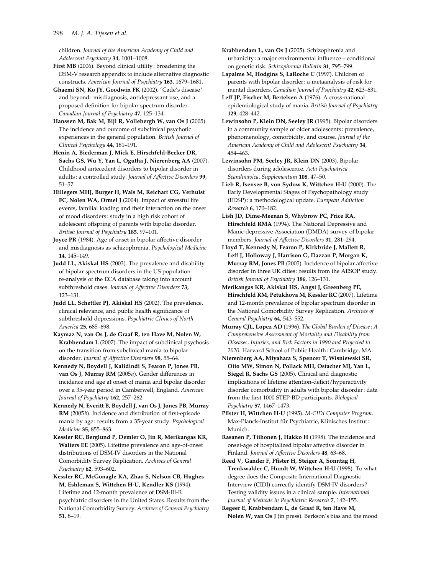children. Journal of the American Academy of Child and Adolescent Psychiatry 34, 1001–1008.

First MB (2006). Beyond clinical utility : broadening the DSM-V research appendix to include alternative diagnostic constructs. American Journal of Psychiatry 163, 1679–1681.

Ghaemi SN, Ko JY, Goodwin FK (2002). ' Cade's disease' and beyond: misdiagnosis, antidepressant use, and a proposed definition for bipolar spectrum disorder. Canadian Journal of Psychiatry 47, 125–134.

Hanssen M, Bak M, Bijl R, Vollebergh W, van Os J (2005). The incidence and outcome of subclinical psychotic experiences in the general population. British Journal of Clinical Psychology 44, 181–191.

Henin A, Biederman J, Mick E, Hirschfeld-Becker DR, Sachs GS, Wu Y, Yan L, Ogutha J, Nierenberg AA (2007). Childhood antecedent disorders to bipolar disorder in adults: a controlled study. Journal of Affective Disorders 99, 51–57.

Hillegers MHJ, Burger H, Wals M, Reichart CG, Verhulst FC, Nolen WA, Ormel J (2004). Impact of stressful life events, familial loading and their interaction on the onset of mood disorders : study in a high risk cohort of adolescent offspring of parents with bipolar disorder. British Journal of Psychiatry 185, 97–101.

Joyce PR (1984). Age of onset in bipolar affective disorder and misdiagnosis as schizophrenia. Psychological Medicine 14, 145–149.

Judd LL, Akiskal HS (2003). The prevalence and disability of bipolar spectrum disorders in the US population : re-analysis of the ECA database taking into account subthreshold cases. Journal of Affective Disorders 73, 123–131.

Judd LL, Schettler PJ, Akiskal HS (2002). The prevalence, clinical relevance, and public health significance of subthreshold depressions. Psychiatric Clinics of North America 25, 685–698.

Kaymaz N, van Os J, de Graaf R, ten Have M, Nolen W, Krabbendam L (2007). The impact of subclinical psychosis on the transition from subclinical mania to bipolar disorder. Journal of Affective Disorders 98, 55–64.

Kennedy N, Boydell J, Kalidindi S, Fearon P, Jones PB, van Os J, Murray RM (2005a). Gender differences in incidence and age at onset of mania and bipolar disorder over a 35-year period in Camberwell, England. American Journal of Psychiatry 162, 257–262.

Kennedy N, Everitt B, Boydell J, van Os J, Jones PB, Murray RM (2005b). Incidence and distribution of first-episode mania by age: results from a 35-year study. Psychological Medicine 35, 855–863.

Kessler RC, Berglund P, Demler O, Jin R, Merikangas KR, Walters EE (2005). Lifetime prevalence and age-of-onset distributions of DSM-IV disorders in the National Comorbidity Survey Replication. Archives of General Psychiatry 62, 593–602.

Kessler RC, McGonagle KA, Zhao S, Nelson CB, Hughes M, Eshleman S, Wittchen H-U, Kendler KS (1994). Lifetime and 12-month prevalence of DSM-III-R psychiatric disorders in the United States. Results from the National Comorbidity Survey. Archives of General Psychiatry 51, 8–19.

Krabbendam L, van Os J (2005). Schizophrenia and urbanicity : a major environmental influence – conditional on genetic risk. Schizophrenia Bulletin 31, 795–799.

Lapalme M, Hodgins S, LaRoche C (1997). Children of parents with bipolar disorder : a metaanalysis of risk for mental disorders. Canadian Journal of Psychiatry 42, 623–631.

Leff JP, Fischer M, Bertelsen A (1976). A cross-national epidemiological study of mania. British Journal of Psychiatry 129, 428–442.

Lewinsohn P, Klein DN, Seeley JR (1995). Bipolar disorders in a community sample of older adolescents : prevalence, phenomenology, comorbidity, and course. Journal of the American Academy of Child and Adolescent Psychiatry 34, 454–463.

Lewinsohn PM, Seeley JR, Klein DN (2003). Bipolar disorders during adolescence. Acta Psychiatrica Scandinavica. Supplementum 108, 47–50.

Lieb R, Isensee B, von Sydow K, Wittchen H-U (2000). The Early Developmental Stages of Psychopathology study (EDSP) : a methodological update. European Addiction Research 6, 170–182.

Lish JD, Dime-Meenan S, Whybrow PC, Price RA, Hirschfeld RMA (1994). The National Depressive and Manic-depressive Association (DMDA) survey of bipolar members. Journal of Affective Disorders 31, 281–294.

Lloyd T, Kennedy N, Fearon P, Kirkbride J, Mallett R, Leff J, Holloway J, Harrison G, Dazzan P, Morgan K, Murray RM, Jones PB (2005). Incidence of bipolar affective disorder in three UK cities : results from the AESOP study. British Journal of Psychiatry 186, 126–131.

Merikangas KR, Akiskal HS, Angst J, Greenberg PE, Hirschfeld RM, Petukhova M, Kessler RC (2007). Lifetime and 12-month prevalence of bipolar spectrum disorder in the National Comorbidity Survey Replication. Archives of General Psychiatry 64, 543–552.

Murray CJL, Lopez AD (1996). The Global Burden of Disease : A Comprehensive Assessment of Mortality and Disability from Diseases, Injuries, and Risk Factors in 1990 and Projected to 2020. Harvard School of Public Health : Cambridge, MA.

Nierenberg AA, Miyahara S, Spencer T, Wisniewski SR, Otto MW, Simon N, Pollack MH, Ostacher MJ, Yan L, Siegel R, Sachs GS (2005). Clinical and diagnostic implications of lifetime attention-deficit/hyperactivity disorder comorbidity in adults with bipolar disorder : data from the first 1000 STEP-BD participants. Biological Psychiatry 57, 1467–1473.

Pfister H, Wittchen H-U (1995). M-CIDI Computer Program. Max-Planck-Institut für Psychiatrie, Klinisches Institut: Munich.

Rasanen P, Tiihonen J, Hakko H (1998). The incidence and onset-age of hospitalized bipolar affective disorder in Finland. Journal of Affective Disorders 48, 63–68.

Reed V, Gander F, Pfister H, Steiger A, Sonntag H, Trenkwalder C, Hundt W, Wittchen H-U (1998). To what degree does the Composite International Diagnostic Interview (CIDI) correctly identify DSM-IV disorders ? Testing validity issues in a clinical sample. International Journal of Methods in Psychiatric Research 7, 142–155.

Regeer E, Krabbendam L, de Graaf R, ten Have M, Nolen W, van Os J (in press). Berkson's bias and the mood